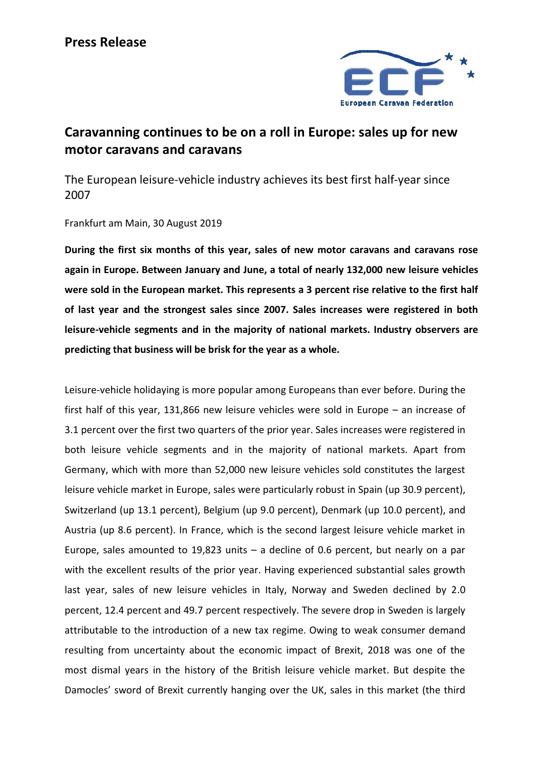

## **Caravanning continues to be on a roll in Europe: sales up for new motor caravans and caravans**

The European leisure-vehicle industry achieves its best first half-year since 2007

## Frankfurt am Main, 30 August 2019

**During the first six months of this year, sales of new motor caravans and caravans rose again in Europe. Between January and June, a total of nearly 132,000 new leisure vehicles were sold in the European market. This represents a 3 percent rise relative to the first half of last year and the strongest sales since 2007. Sales increases were registered in both leisure-vehicle segments and in the majority of national markets. Industry observers are predicting that business will be brisk for the year as a whole.**

Leisure-vehicle holidaying is more popular among Europeans than ever before. During the first half of this year, 131,866 new leisure vehicles were sold in Europe – an increase of 3.1 percent over the first two quarters of the prior year. Sales increases were registered in both leisure vehicle segments and in the majority of national markets. Apart from Germany, which with more than 52,000 new leisure vehicles sold constitutes the largest leisure vehicle market in Europe, sales were particularly robust in Spain (up 30.9 percent), Switzerland (up 13.1 percent), Belgium (up 9.0 percent), Denmark (up 10.0 percent), and Austria (up 8.6 percent). In France, which is the second largest leisure vehicle market in Europe, sales amounted to 19,823 units  $-$  a decline of 0.6 percent, but nearly on a par with the excellent results of the prior year. Having experienced substantial sales growth last year, sales of new leisure vehicles in Italy, Norway and Sweden declined by 2.0 percent, 12.4 percent and 49.7 percent respectively. The severe drop in Sweden is largely attributable to the introduction of a new tax regime. Owing to weak consumer demand resulting from uncertainty about the economic impact of Brexit, 2018 was one of the most dismal years in the history of the British leisure vehicle market. But despite the Damocles' sword of Brexit currently hanging over the UK, sales in this market (the third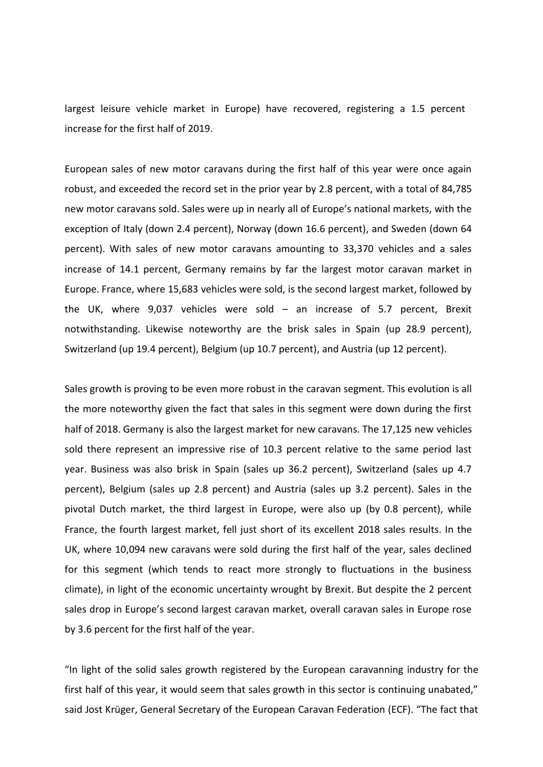largest leisure vehicle market in Europe) have recovered, registering a 1.5 percent increase for the first half of 2019.

European sales of new motor caravans during the first half of this year were once again robust, and exceeded the record set in the prior year by 2.8 percent, with a total of 84,785 new motor caravans sold. Sales were up in nearly all of Europe's national markets, with the exception of Italy (down 2.4 percent), Norway (down 16.6 percent), and Sweden (down 64 percent). With sales of new motor caravans amounting to 33,370 vehicles and a sales increase of 14.1 percent, Germany remains by far the largest motor caravan market in Europe. France, where 15,683 vehicles were sold, is the second largest market, followed by the UK, where 9,037 vehicles were sold – an increase of 5.7 percent, Brexit notwithstanding. Likewise noteworthy are the brisk sales in Spain (up 28.9 percent), Switzerland (up 19.4 percent), Belgium (up 10.7 percent), and Austria (up 12 percent).

Sales growth is proving to be even more robust in the caravan segment. This evolution is all the more noteworthy given the fact that sales in this segment were down during the first half of 2018. Germany is also the largest market for new caravans. The 17,125 new vehicles sold there represent an impressive rise of 10.3 percent relative to the same period last year. Business was also brisk in Spain (sales up 36.2 percent), Switzerland (sales up 4.7 percent), Belgium (sales up 2.8 percent) and Austria (sales up 3.2 percent). Sales in the pivotal Dutch market, the third largest in Europe, were also up (by 0.8 percent), while France, the fourth largest market, fell just short of its excellent 2018 sales results. In the UK, where 10,094 new caravans were sold during the first half of the year, sales declined for this segment (which tends to react more strongly to fluctuations in the business climate), in light of the economic uncertainty wrought by Brexit. But despite the 2 percent sales drop in Europe's second largest caravan market, overall caravan sales in Europe rose by 3.6 percent for the first half of the year.

"In light of the solid sales growth registered by the European caravanning industry for the first half of this year, it would seem that sales growth in this sector is continuing unabated," said Jost Krüger, General Secretary of the European Caravan Federation (ECF). "The fact that